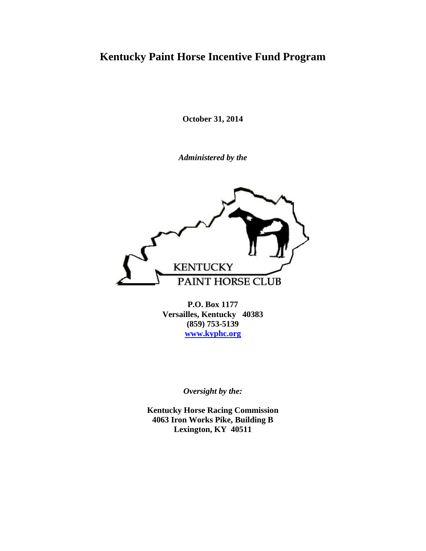# **Kentucky Paint Horse Incentive Fund Program**

**October 31, 2014**

*Administered by the*



**P.O. Box 1177 Versailles, Kentucky 40383 (859) 753-5139 [www.kyphc.org](http://www.kyphc.org/)**

*Oversight by the:*

**Kentucky Horse Racing Commission 4063 Iron Works Pike, Building B Lexington, KY 40511**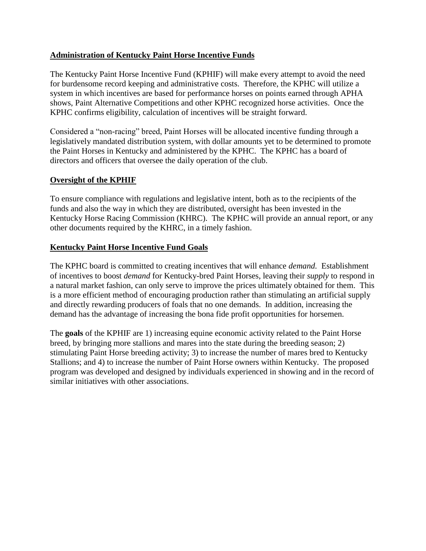# **Administration of Kentucky Paint Horse Incentive Funds**

The Kentucky Paint Horse Incentive Fund (KPHIF) will make every attempt to avoid the need for burdensome record keeping and administrative costs. Therefore, the KPHC will utilize a system in which incentives are based for performance horses on points earned through APHA shows, Paint Alternative Competitions and other KPHC recognized horse activities. Once the KPHC confirms eligibility, calculation of incentives will be straight forward.

Considered a "non-racing" breed, Paint Horses will be allocated incentive funding through a legislatively mandated distribution system, with dollar amounts yet to be determined to promote the Paint Horses in Kentucky and administered by the KPHC. The KPHC has a board of directors and officers that oversee the daily operation of the club.

# **Oversight of the KPHIF**

To ensure compliance with regulations and legislative intent, both as to the recipients of the funds and also the way in which they are distributed, oversight has been invested in the Kentucky Horse Racing Commission (KHRC). The KPHC will provide an annual report, or any other documents required by the KHRC, in a timely fashion.

# **Kentucky Paint Horse Incentive Fund Goals**

The KPHC board is committed to creating incentives that will enhance *demand.* Establishment of incentives to boost *demand* for Kentucky-bred Paint Horses, leaving their *supply* to respond in a natural market fashion, can only serve to improve the prices ultimately obtained for them. This is a more efficient method of encouraging production rather than stimulating an artificial supply and directly rewarding producers of foals that no one demands. In addition, increasing the demand has the advantage of increasing the bona fide profit opportunities for horsemen.

The **goals** of the KPHIF are 1) increasing equine economic activity related to the Paint Horse breed, by bringing more stallions and mares into the state during the breeding season; 2) stimulating Paint Horse breeding activity; 3) to increase the number of mares bred to Kentucky Stallions; and 4) to increase the number of Paint Horse owners within Kentucky. The proposed program was developed and designed by individuals experienced in showing and in the record of similar initiatives with other associations.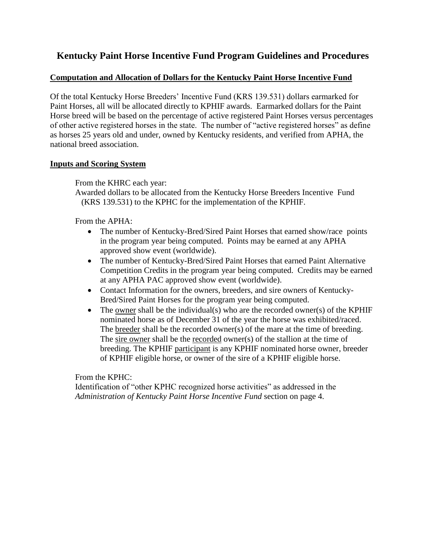# **Kentucky Paint Horse Incentive Fund Program Guidelines and Procedures**

#### **Computation and Allocation of Dollars for the Kentucky Paint Horse Incentive Fund**

Of the total Kentucky Horse Breeders' Incentive Fund (KRS 139.531) dollars earmarked for Paint Horses, all will be allocated directly to KPHIF awards. Earmarked dollars for the Paint Horse breed will be based on the percentage of active registered Paint Horses versus percentages of other active registered horses in the state. The number of "active registered horses" as define as horses 25 years old and under, owned by Kentucky residents, and verified from APHA, the national breed association.

#### **Inputs and Scoring System**

From the KHRC each year:

Awarded dollars to be allocated from the Kentucky Horse Breeders Incentive Fund (KRS 139.531) to the KPHC for the implementation of the KPHIF.

From the APHA:

- The number of Kentucky-Bred/Sired Paint Horses that earned show/race points in the program year being computed. Points may be earned at any APHA approved show event (worldwide).
- The number of Kentucky-Bred/Sired Paint Horses that earned Paint Alternative Competition Credits in the program year being computed. Credits may be earned at any APHA PAC approved show event (worldwide).
- Contact Information for the owners, breeders, and sire owners of Kentucky-Bred/Sired Paint Horses for the program year being computed.
- The owner shall be the individual(s) who are the recorded owner(s) of the KPHIF nominated horse as of December 31 of the year the horse was exhibited/raced. The breeder shall be the recorded owner(s) of the mare at the time of breeding. The sire owner shall be the recorded owner(s) of the stallion at the time of breeding. The KPHIF participant is any KPHIF nominated horse owner, breeder of KPHIF eligible horse, or owner of the sire of a KPHIF eligible horse.

From the KPHC:

Identification of "other KPHC recognized horse activities" as addressed in the *Administration of Kentucky Paint Horse Incentive Fund* section on page 4.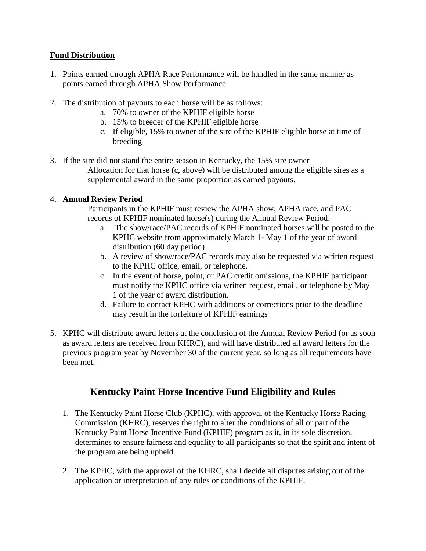# **Fund Distribution**

- 1. Points earned through APHA Race Performance will be handled in the same manner as points earned through APHA Show Performance.
- 2. The distribution of payouts to each horse will be as follows:
	- a. 70% to owner of the KPHIF eligible horse
	- b. 15% to breeder of the KPHIF eligible horse
	- c. If eligible, 15% to owner of the sire of the KPHIF eligible horse at time of breeding
- 3. If the sire did not stand the entire season in Kentucky, the 15% sire owner Allocation for that horse (c, above) will be distributed among the eligible sires as a supplemental award in the same proportion as earned payouts.

# 4. **Annual Review Period**

Participants in the KPHIF must review the APHA show, APHA race, and PAC records of KPHIF nominated horse(s) during the Annual Review Period.

- a. The show/race/PAC records of KPHIF nominated horses will be posted to the KPHC website from approximately March 1- May 1 of the year of award distribution (60 day period)
- b. A review of show/race/PAC records may also be requested via written request to the KPHC office, email, or telephone.
- c. In the event of horse, point, or PAC credit omissions, the KPHIF participant must notify the KPHC office via written request, email, or telephone by May 1 of the year of award distribution.
- d. Failure to contact KPHC with additions or corrections prior to the deadline may result in the forfeiture of KPHIF earnings
- 5. KPHC will distribute award letters at the conclusion of the Annual Review Period (or as soon as award letters are received from KHRC), and will have distributed all award letters for the previous program year by November 30 of the current year, so long as all requirements have been met.

# **Kentucky Paint Horse Incentive Fund Eligibility and Rules**

- 1. The Kentucky Paint Horse Club (KPHC), with approval of the Kentucky Horse Racing Commission (KHRC), reserves the right to alter the conditions of all or part of the Kentucky Paint Horse Incentive Fund (KPHIF) program as it, in its sole discretion, determines to ensure fairness and equality to all participants so that the spirit and intent of the program are being upheld.
- 2. The KPHC, with the approval of the KHRC, shall decide all disputes arising out of the application or interpretation of any rules or conditions of the KPHIF.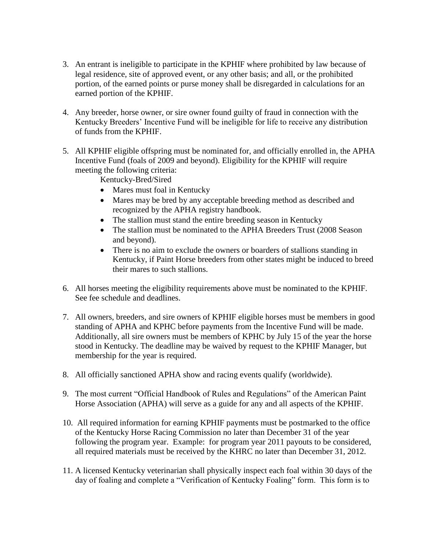- 3. An entrant is ineligible to participate in the KPHIF where prohibited by law because of legal residence, site of approved event, or any other basis; and all, or the prohibited portion, of the earned points or purse money shall be disregarded in calculations for an earned portion of the KPHIF.
- 4. Any breeder, horse owner, or sire owner found guilty of fraud in connection with the Kentucky Breeders' Incentive Fund will be ineligible for life to receive any distribution of funds from the KPHIF.
- 5. All KPHIF eligible offspring must be nominated for, and officially enrolled in, the APHA Incentive Fund (foals of 2009 and beyond). Eligibility for the KPHIF will require meeting the following criteria:

Kentucky-Bred/Sired

- Mares must foal in Kentucky
- Mares may be bred by any acceptable breeding method as described and recognized by the APHA registry handbook.
- The stallion must stand the entire breeding season in Kentucky
- The stallion must be nominated to the APHA Breeders Trust (2008 Season and beyond).
- There is no aim to exclude the owners or boarders of stallions standing in Kentucky, if Paint Horse breeders from other states might be induced to breed their mares to such stallions.
- 6. All horses meeting the eligibility requirements above must be nominated to the KPHIF. See fee schedule and deadlines.
- 7. All owners, breeders, and sire owners of KPHIF eligible horses must be members in good standing of APHA and KPHC before payments from the Incentive Fund will be made. Additionally, all sire owners must be members of KPHC by July 15 of the year the horse stood in Kentucky. The deadline may be waived by request to the KPHIF Manager, but membership for the year is required.
- 8. All officially sanctioned APHA show and racing events qualify (worldwide).
- 9. The most current "Official Handbook of Rules and Regulations" of the American Paint Horse Association (APHA) will serve as a guide for any and all aspects of the KPHIF.
- 10. All required information for earning KPHIF payments must be postmarked to the office of the Kentucky Horse Racing Commission no later than December 31 of the year following the program year. Example: for program year 2011 payouts to be considered, all required materials must be received by the KHRC no later than December 31, 2012.
- 11. A licensed Kentucky veterinarian shall physically inspect each foal within 30 days of the day of foaling and complete a "Verification of Kentucky Foaling" form. This form is to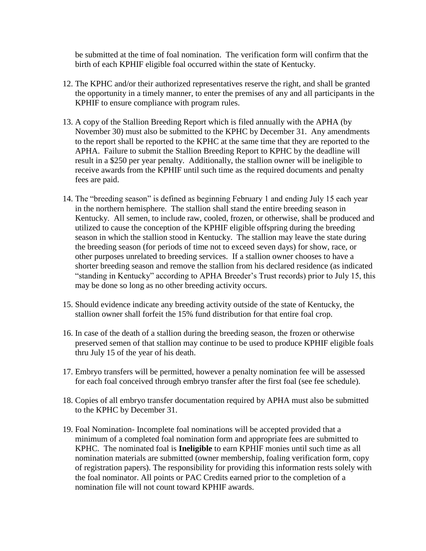be submitted at the time of foal nomination. The verification form will confirm that the birth of each KPHIF eligible foal occurred within the state of Kentucky.

- 12. The KPHC and/or their authorized representatives reserve the right, and shall be granted the opportunity in a timely manner, to enter the premises of any and all participants in the KPHIF to ensure compliance with program rules.
- 13. A copy of the Stallion Breeding Report which is filed annually with the APHA (by November 30) must also be submitted to the KPHC by December 31. Any amendments to the report shall be reported to the KPHC at the same time that they are reported to the APHA. Failure to submit the Stallion Breeding Report to KPHC by the deadline will result in a \$250 per year penalty. Additionally, the stallion owner will be ineligible to receive awards from the KPHIF until such time as the required documents and penalty fees are paid.
- 14. The "breeding season" is defined as beginning February 1 and ending July 15 each year in the northern hemisphere. The stallion shall stand the entire breeding season in Kentucky. All semen, to include raw, cooled, frozen, or otherwise, shall be produced and utilized to cause the conception of the KPHIF eligible offspring during the breeding season in which the stallion stood in Kentucky. The stallion may leave the state during the breeding season (for periods of time not to exceed seven days) for show, race, or other purposes unrelated to breeding services. If a stallion owner chooses to have a shorter breeding season and remove the stallion from his declared residence (as indicated "standing in Kentucky" according to APHA Breeder's Trust records) prior to July 15, this may be done so long as no other breeding activity occurs.
- 15. Should evidence indicate any breeding activity outside of the state of Kentucky, the stallion owner shall forfeit the 15% fund distribution for that entire foal crop.
- 16. In case of the death of a stallion during the breeding season, the frozen or otherwise preserved semen of that stallion may continue to be used to produce KPHIF eligible foals thru July 15 of the year of his death.
- 17. Embryo transfers will be permitted, however a penalty nomination fee will be assessed for each foal conceived through embryo transfer after the first foal (see fee schedule).
- 18. Copies of all embryo transfer documentation required by APHA must also be submitted to the KPHC by December 31.
- 19. Foal Nomination- Incomplete foal nominations will be accepted provided that a minimum of a completed foal nomination form and appropriate fees are submitted to KPHC. The nominated foal is **Ineligible** to earn KPHIF monies until such time as all nomination materials are submitted (owner membership, foaling verification form, copy of registration papers). The responsibility for providing this information rests solely with the foal nominator. All points or PAC Credits earned prior to the completion of a nomination file will not count toward KPHIF awards.